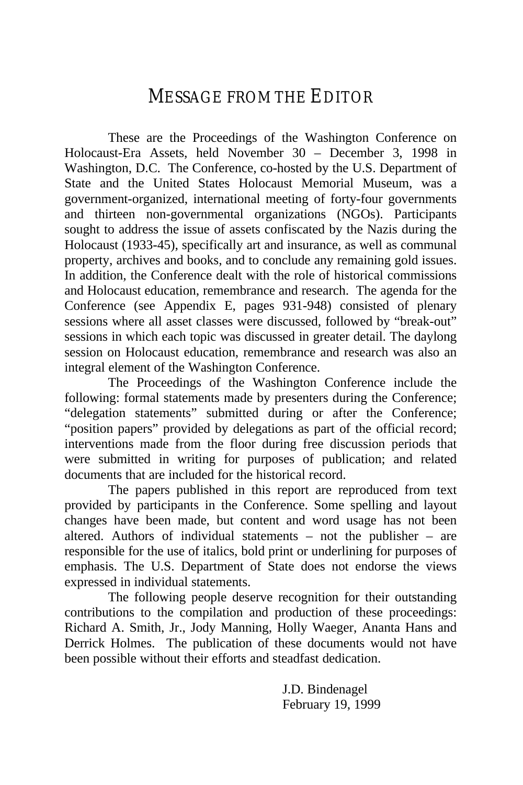# MESSAGE FROM THE EDITOR

These are the Proceedings of the Washington Conference on Holocaust-Era Assets, held November 30 – December 3, 1998 in Washington, D.C. The Conference, co-hosted by the U.S. Department of State and the United States Holocaust Memorial Museum, was a government-organized, international meeting of forty-four governments and thirteen non-governmental organizations (NGOs). Participants sought to address the issue of assets confiscated by the Nazis during the Holocaust (1933-45), specifically art and insurance, as well as communal property, archives and books, and to conclude any remaining gold issues. In addition, the Conference dealt with the role of historical commissions and Holocaust education, remembrance and research. The agenda for the Conference (see Appendix E, pages 931-948) consisted of plenary sessions where all asset classes were discussed, followed by "break-out" sessions in which each topic was discussed in greater detail. The daylong session on Holocaust education, remembrance and research was also an integral element of the Washington Conference.

The Proceedings of the Washington Conference include the following: formal statements made by presenters during the Conference; "delegation statements" submitted during or after the Conference; "position papers" provided by delegations as part of the official record; interventions made from the floor during free discussion periods that were submitted in writing for purposes of publication; and related documents that are included for the historical record.

The papers published in this report are reproduced from text provided by participants in the Conference. Some spelling and layout changes have been made, but content and word usage has not been altered. Authors of individual statements – not the publisher – are responsible for the use of italics, bold print or underlining for purposes of emphasis. The U.S. Department of State does not endorse the views expressed in individual statements.

The following people deserve recognition for their outstanding contributions to the compilation and production of these proceedings: Richard A. Smith, Jr., Jody Manning, Holly Waeger, Ananta Hans and Derrick Holmes. The publication of these documents would not have been possible without their efforts and steadfast dedication.

> J.D. Bindenagel February 19, 1999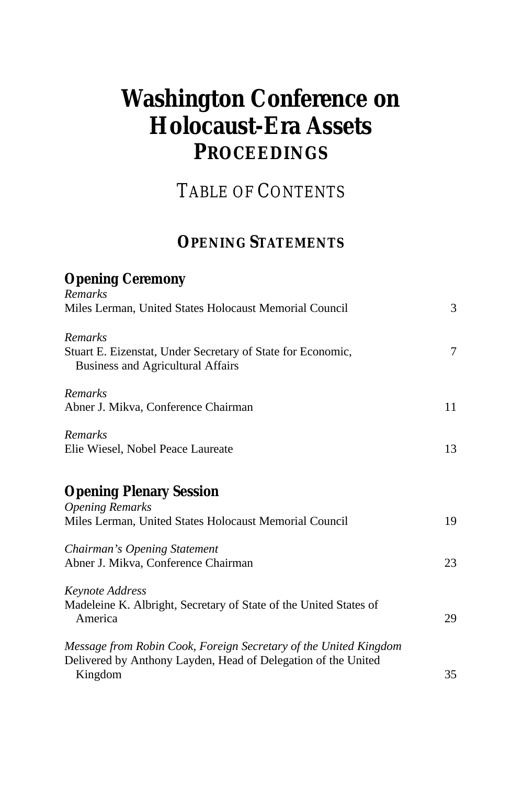# <span id="page-2-0"></span>**Washington Conference on Holocaust-Era Assets PROCEEDINGS**

TABLE OF CONTENTS

# **OPENING STATEMENTS**

#### **Opening Ceremony** *Remarks*

| <i>IVEHIUH NS</i><br>Miles Lerman, United States Holocaust Memorial Council                                                                  | 3  |
|----------------------------------------------------------------------------------------------------------------------------------------------|----|
| <b>Remarks</b><br>Stuart E. Eizenstat, Under Secretary of State for Economic,<br><b>Business and Agricultural Affairs</b>                    | 7  |
| Remarks<br>Abner J. Mikva, Conference Chairman                                                                                               | 11 |
| Remarks<br>Elie Wiesel, Nobel Peace Laureate                                                                                                 | 13 |
| <b>Opening Plenary Session</b><br><b>Opening Remarks</b><br>Miles Lerman, United States Holocaust Memorial Council                           | 19 |
| Chairman's Opening Statement<br>Abner J. Mikva, Conference Chairman                                                                          | 23 |
| <b>Keynote Address</b><br>Madeleine K. Albright, Secretary of State of the United States of<br>America                                       | 29 |
| Message from Robin Cook, Foreign Secretary of the United Kingdom<br>Delivered by Anthony Layden, Head of Delegation of the United<br>Kingdom | 35 |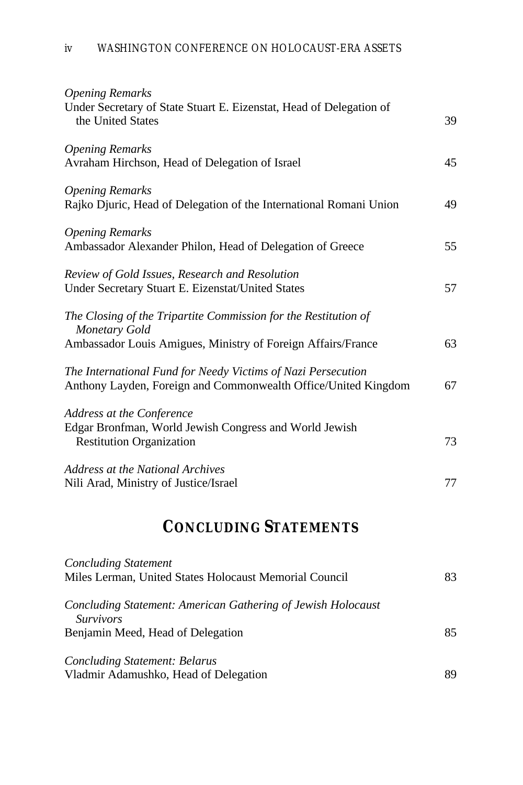| <b>Opening Remarks</b><br>Under Secretary of State Stuart E. Eizenstat, Head of Delegation of                                                    |    |
|--------------------------------------------------------------------------------------------------------------------------------------------------|----|
| the United States                                                                                                                                | 39 |
| <b>Opening Remarks</b><br>Avraham Hirchson, Head of Delegation of Israel                                                                         | 45 |
| <b>Opening Remarks</b><br>Rajko Djuric, Head of Delegation of the International Romani Union                                                     | 49 |
| <b>Opening Remarks</b><br>Ambassador Alexander Philon, Head of Delegation of Greece                                                              | 55 |
| Review of Gold Issues, Research and Resolution<br>Under Secretary Stuart E. Eizenstat/United States                                              | 57 |
| The Closing of the Tripartite Commission for the Restitution of<br>Monetary Gold<br>Ambassador Louis Amigues, Ministry of Foreign Affairs/France | 63 |
| The International Fund for Needy Victims of Nazi Persecution<br>Anthony Layden, Foreign and Commonwealth Office/United Kingdom                   | 67 |
| Address at the Conference<br>Edgar Bronfman, World Jewish Congress and World Jewish<br><b>Restitution Organization</b>                           | 73 |
| Address at the National Archives<br>Nili Arad, Ministry of Justice/Israel                                                                        | 77 |
|                                                                                                                                                  |    |

# **CONCLUDING STATEMENTS**

| <b>Concluding Statement</b>                                                      |    |
|----------------------------------------------------------------------------------|----|
| Miles Lerman, United States Holocaust Memorial Council                           | 83 |
| Concluding Statement: American Gathering of Jewish Holocaust<br><i>Survivors</i> |    |
| Benjamin Meed, Head of Delegation                                                | 85 |
| Concluding Statement: Belarus<br>Vladmir Adamushko, Head of Delegation           | 89 |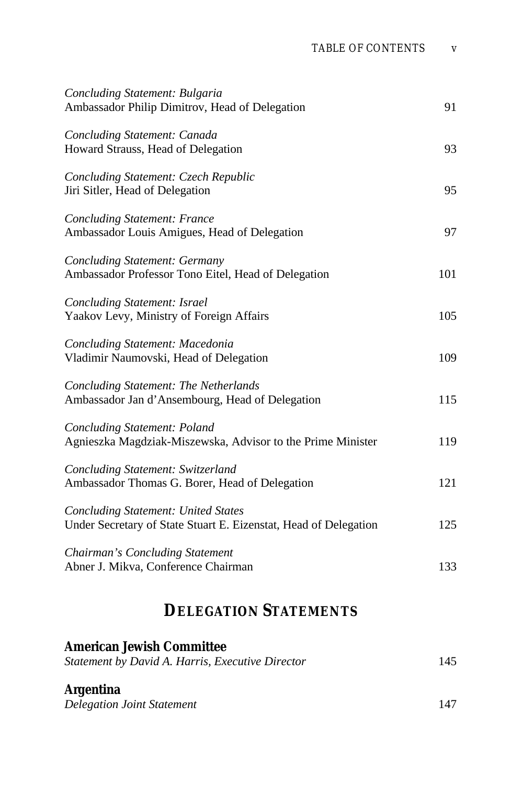<span id="page-4-0"></span>

| Concluding Statement: Bulgaria<br>Ambassador Philip Dimitrov, Head of Delegation                               | 91  |
|----------------------------------------------------------------------------------------------------------------|-----|
| Concluding Statement: Canada<br>Howard Strauss, Head of Delegation                                             | 93  |
| Concluding Statement: Czech Republic<br>Jiri Sitler, Head of Delegation                                        | 95  |
| <b>Concluding Statement: France</b><br>Ambassador Louis Amigues, Head of Delegation                            | 97  |
| <b>Concluding Statement: Germany</b><br>Ambassador Professor Tono Eitel, Head of Delegation                    | 101 |
| Concluding Statement: Israel<br>Yaakov Levy, Ministry of Foreign Affairs                                       | 105 |
| Concluding Statement: Macedonia<br>Vladimir Naumovski, Head of Delegation                                      | 109 |
| <b>Concluding Statement: The Netherlands</b><br>Ambassador Jan d'Ansembourg, Head of Delegation                | 115 |
| <b>Concluding Statement: Poland</b><br>Agnieszka Magdziak-Miszewska, Advisor to the Prime Minister             | 119 |
| Concluding Statement: Switzerland<br>Ambassador Thomas G. Borer, Head of Delegation                            | 121 |
| <b>Concluding Statement: United States</b><br>Under Secretary of State Stuart E. Eizenstat, Head of Delegation | 125 |
| Chairman's Concluding Statement<br>Abner J. Mikva, Conference Chairman                                         | 133 |
|                                                                                                                |     |

# **DELEGATION STATEMENTS**

| <b>American Jewish Committee</b>                 |     |
|--------------------------------------------------|-----|
| Statement by David A. Harris, Executive Director | 145 |
| <b>Argentina</b>                                 |     |
| <b>Delegation Joint Statement</b>                | 147 |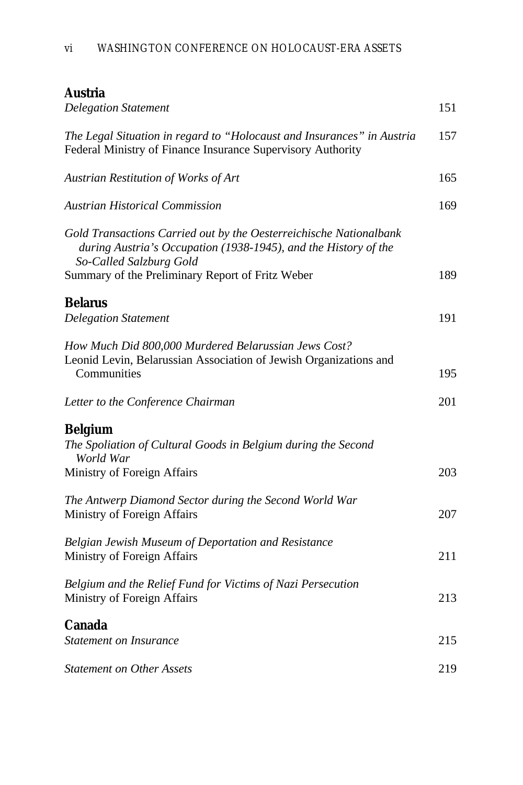#### **Austria**

| <b>Delegation Statement</b>                                                                                                                                                                                          | 151 |
|----------------------------------------------------------------------------------------------------------------------------------------------------------------------------------------------------------------------|-----|
| The Legal Situation in regard to "Holocaust and Insurances" in Austria<br>Federal Ministry of Finance Insurance Supervisory Authority                                                                                | 157 |
| Austrian Restitution of Works of Art                                                                                                                                                                                 | 165 |
| <b>Austrian Historical Commission</b>                                                                                                                                                                                | 169 |
| Gold Transactions Carried out by the Oesterreichische Nationalbank<br>during Austria's Occupation (1938-1945), and the History of the<br>So-Called Salzburg Gold<br>Summary of the Preliminary Report of Fritz Weber | 189 |
| <b>Belarus</b>                                                                                                                                                                                                       |     |
| <b>Delegation Statement</b>                                                                                                                                                                                          | 191 |
| How Much Did 800,000 Murdered Belarussian Jews Cost?<br>Leonid Levin, Belarussian Association of Jewish Organizations and<br>Communities                                                                             | 195 |
| Letter to the Conference Chairman                                                                                                                                                                                    | 201 |
| <b>Belgium</b><br>The Spoliation of Cultural Goods in Belgium during the Second<br>World War<br>Ministry of Foreign Affairs                                                                                          | 203 |
| The Antwerp Diamond Sector during the Second World War<br>Ministry of Foreign Affairs                                                                                                                                | 207 |
| Belgian Jewish Museum of Deportation and Resistance<br>Ministry of Foreign Affairs                                                                                                                                   | 211 |
| Belgium and the Relief Fund for Victims of Nazi Persecution<br>Ministry of Foreign Affairs                                                                                                                           | 213 |
| <b>Canada</b><br><b>Statement on Insurance</b>                                                                                                                                                                       | 215 |
| <b>Statement on Other Assets</b>                                                                                                                                                                                     | 219 |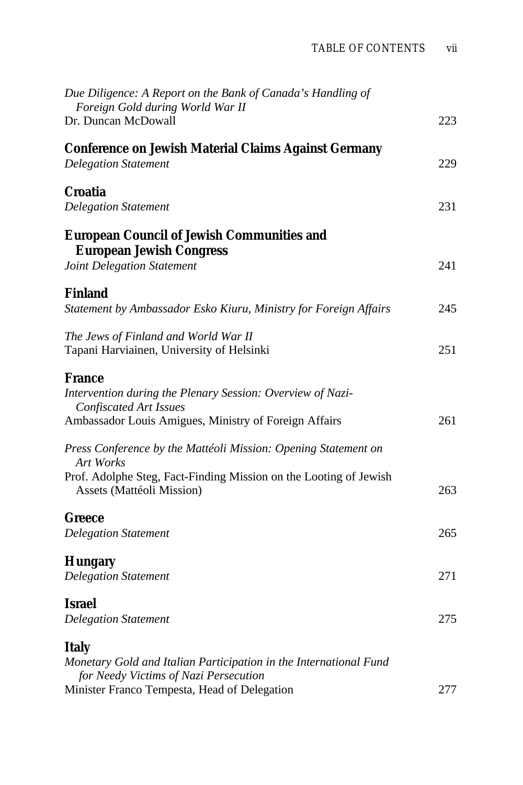<span id="page-6-0"></span>

| Due Diligence: A Report on the Bank of Canada's Handling of<br>Foreign Gold during World War II<br>Dr. Duncan McDowall                                                                                                           | 223 |
|----------------------------------------------------------------------------------------------------------------------------------------------------------------------------------------------------------------------------------|-----|
| <b>Conference on Jewish Material Claims Against Germany</b><br><b>Delegation Statement</b>                                                                                                                                       | 229 |
| Croatia<br><b>Delegation Statement</b>                                                                                                                                                                                           | 231 |
| <b>European Council of Jewish Communities and</b><br><b>European Jewish Congress</b><br>Joint Delegation Statement                                                                                                               | 241 |
| <b>Finland</b><br>Statement by Ambassador Esko Kiuru, Ministry for Foreign Affairs                                                                                                                                               | 245 |
| The Jews of Finland and World War II<br>Tapani Harviainen, University of Helsinki                                                                                                                                                | 251 |
| France<br>Intervention during the Plenary Session: Overview of Nazi-<br><b>Confiscated Art Issues</b><br>Ambassador Louis Amigues, Ministry of Foreign Affairs<br>Press Conference by the Mattéoli Mission: Opening Statement on | 261 |
| <b>Art Works</b><br>Prof. Adolphe Steg, Fact-Finding Mission on the Looting of Jewish<br>Assets (Mattéoli Mission)                                                                                                               | 263 |
| Greece<br><b>Delegation Statement</b>                                                                                                                                                                                            | 265 |
| <b>Hungary</b><br><b>Delegation Statement</b>                                                                                                                                                                                    | 271 |
| Israel<br><b>Delegation Statement</b>                                                                                                                                                                                            | 275 |
| <b>Italy</b><br>Monetary Gold and Italian Participation in the International Fund<br>for Needy Victims of Nazi Persecution                                                                                                       |     |
| Minister Franco Tempesta, Head of Delegation                                                                                                                                                                                     | 277 |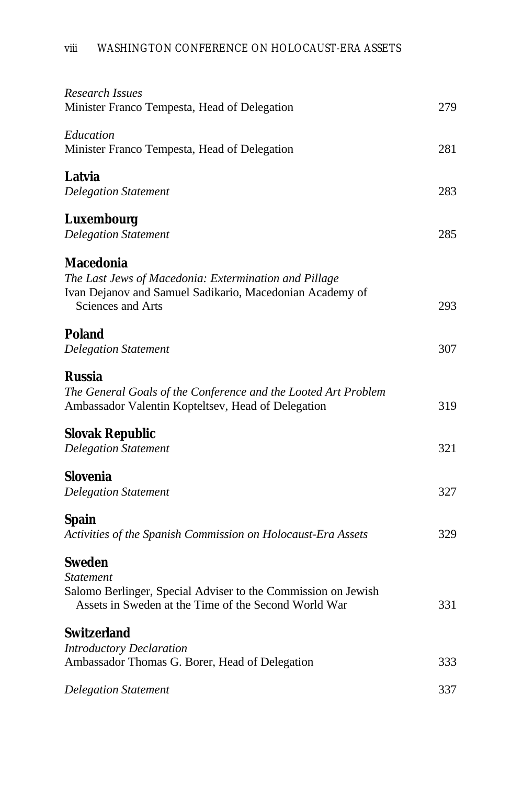| Research Issues<br>Minister Franco Tempesta, Head of Delegation                                                                                            | 279 |
|------------------------------------------------------------------------------------------------------------------------------------------------------------|-----|
| Education<br>Minister Franco Tempesta, Head of Delegation                                                                                                  | 281 |
| Latvia<br><b>Delegation Statement</b>                                                                                                                      | 283 |
| <b>Luxembourg</b><br><b>Delegation Statement</b>                                                                                                           | 285 |
| <b>Macedonia</b><br>The Last Jews of Macedonia: Extermination and Pillage<br>Ivan Dejanov and Samuel Sadikario, Macedonian Academy of<br>Sciences and Arts | 293 |
| <b>Poland</b><br><b>Delegation Statement</b>                                                                                                               | 307 |
| Russia<br>The General Goals of the Conference and the Looted Art Problem<br>Ambassador Valentin Kopteltsev, Head of Delegation                             | 319 |
| <b>Slovak Republic</b><br><b>Delegation Statement</b>                                                                                                      | 321 |
| <b>Slovenia</b><br><b>Delegation Statement</b>                                                                                                             | 327 |
| <b>Spain</b><br>Activities of the Spanish Commission on Holocaust-Era Assets                                                                               | 329 |
| <b>Sweden</b><br>Statement<br>Salomo Berlinger, Special Adviser to the Commission on Jewish<br>Assets in Sweden at the Time of the Second World War        | 331 |
| Switzerland<br><b>Introductory Declaration</b>                                                                                                             |     |
| Ambassador Thomas G. Borer, Head of Delegation                                                                                                             | 333 |
| <b>Delegation Statement</b>                                                                                                                                | 337 |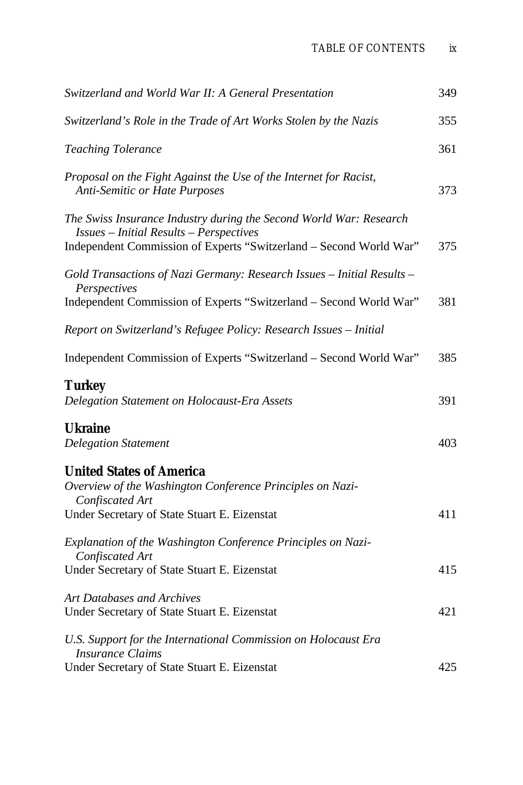<span id="page-8-0"></span>

| Switzerland and World War II: A General Presentation                                                                                                                                       | 349 |
|--------------------------------------------------------------------------------------------------------------------------------------------------------------------------------------------|-----|
| Switzerland's Role in the Trade of Art Works Stolen by the Nazis                                                                                                                           | 355 |
| <b>Teaching Tolerance</b>                                                                                                                                                                  | 361 |
| Proposal on the Fight Against the Use of the Internet for Racist,<br><b>Anti-Semitic or Hate Purposes</b>                                                                                  | 373 |
| The Swiss Insurance Industry during the Second World War: Research<br><b>Issues - Initial Results - Perspectives</b><br>Independent Commission of Experts "Switzerland - Second World War" | 375 |
| Gold Transactions of Nazi Germany: Research Issues - Initial Results -<br>Perspectives<br>Independent Commission of Experts "Switzerland - Second World War"                               | 381 |
| Report on Switzerland's Refugee Policy: Research Issues - Initial                                                                                                                          |     |
| Independent Commission of Experts "Switzerland - Second World War"                                                                                                                         | 385 |
| <b>Turkey</b><br>Delegation Statement on Holocaust-Era Assets                                                                                                                              | 391 |
| <b>Ukraine</b><br><b>Delegation Statement</b>                                                                                                                                              | 403 |
| <b>United States of America</b><br>Overview of the Washington Conference Principles on Nazi-<br>Confiscated Art<br>Under Secretary of State Stuart E. Eizenstat                            | 411 |
| Explanation of the Washington Conference Principles on Nazi-<br>Confiscated Art<br>Under Secretary of State Stuart E. Eizenstat                                                            | 415 |
| <b>Art Databases and Archives</b>                                                                                                                                                          |     |
| Under Secretary of State Stuart E. Eizenstat                                                                                                                                               | 421 |
| U.S. Support for the International Commission on Holocaust Era<br><b>Insurance Claims</b>                                                                                                  |     |
| Under Secretary of State Stuart E. Eizenstat                                                                                                                                               | 425 |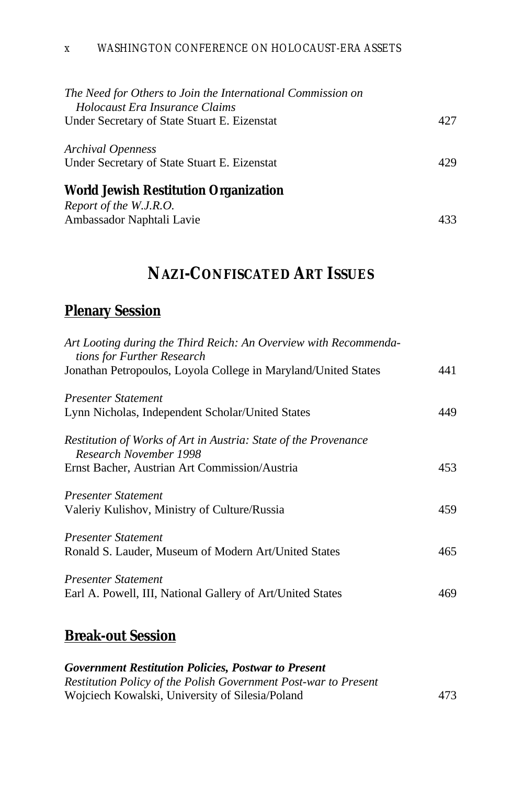#### x WASHINGTON CONFERENCE ON HOLOCAUST-ERA ASSETS

| 427 |
|-----|
| 429 |
|     |
|     |

# **NAZI-CONFISCATED ART ISSUES**

Ambassador Naphtali Lavie 433

#### **Plenary Session**

| Art Looting during the Third Reich: An Overview with Recommenda-<br>tions for Further Research |     |
|------------------------------------------------------------------------------------------------|-----|
| Jonathan Petropoulos, Loyola College in Maryland/United States                                 | 441 |
| <b>Presenter Statement</b>                                                                     |     |
| Lynn Nicholas, Independent Scholar/United States                                               | 449 |
| Restitution of Works of Art in Austria: State of the Provenance<br>Research November 1998      |     |
| Ernst Bacher, Austrian Art Commission/Austria                                                  | 453 |
| <b>Presenter Statement</b>                                                                     |     |
| Valeriy Kulishov, Ministry of Culture/Russia                                                   | 459 |
| Presenter Statement                                                                            |     |
| Ronald S. Lauder, Museum of Modern Art/United States                                           | 465 |
| <b>Presenter Statement</b>                                                                     |     |
| Earl A. Powell, III, National Gallery of Art/United States                                     | 469 |
|                                                                                                |     |

### **Break-out Session**

*Government Restitution Policies, Postwar to Present [Restitution Policy of the Polish Government Post-war to Present](#page-34-0)* Wojciech Kowalski, University of Silesia/Poland 473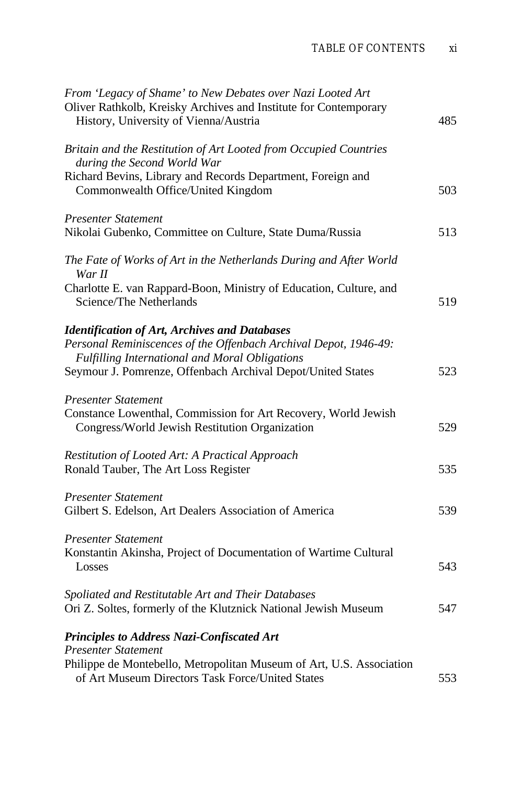<span id="page-10-0"></span>

| From 'Legacy of Shame' to New Debates over Nazi Looted Art<br>Oliver Rathkolb, Kreisky Archives and Institute for Contemporary<br>History, University of Vienna/Austria                                                                   | 485 |
|-------------------------------------------------------------------------------------------------------------------------------------------------------------------------------------------------------------------------------------------|-----|
| Britain and the Restitution of Art Looted from Occupied Countries<br>during the Second World War<br>Richard Bevins, Library and Records Department, Foreign and<br>Commonwealth Office/United Kingdom                                     | 503 |
| <b>Presenter Statement</b><br>Nikolai Gubenko, Committee on Culture, State Duma/Russia                                                                                                                                                    | 513 |
| The Fate of Works of Art in the Netherlands During and After World<br>War II                                                                                                                                                              |     |
| Charlotte E. van Rappard-Boon, Ministry of Education, Culture, and<br>Science/The Netherlands                                                                                                                                             | 519 |
| <b>Identification of Art, Archives and Databases</b><br>Personal Reminiscences of the Offenbach Archival Depot, 1946-49:<br>Fulfilling International and Moral Obligations<br>Seymour J. Pomrenze, Offenbach Archival Depot/United States | 523 |
| <b>Presenter Statement</b><br>Constance Lowenthal, Commission for Art Recovery, World Jewish<br>Congress/World Jewish Restitution Organization                                                                                            | 529 |
| Restitution of Looted Art: A Practical Approach<br>Ronald Tauber, The Art Loss Register                                                                                                                                                   | 535 |
| <b>Presenter Statement</b><br>Gilbert S. Edelson, Art Dealers Association of America                                                                                                                                                      | 539 |
| <b>Presenter Statement</b><br>Konstantin Akinsha, Project of Documentation of Wartime Cultural<br>Losses                                                                                                                                  | 543 |
| Spoliated and Restitutable Art and Their Databases<br>Ori Z. Soltes, formerly of the Klutznick National Jewish Museum                                                                                                                     | 547 |
| Principles to Address Nazi-Confiscated Art<br>Presenter Statement                                                                                                                                                                         |     |
| Philippe de Montebello, Metropolitan Museum of Art, U.S. Association<br>of Art Museum Directors Task Force/United States                                                                                                                  | 553 |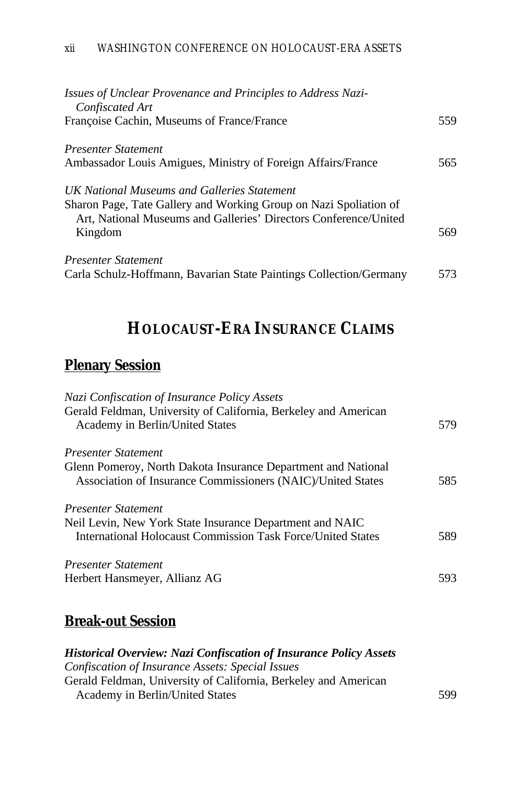| Issues of Unclear Provenance and Principles to Address Nazi-<br>Confiscated Art                                  |     |
|------------------------------------------------------------------------------------------------------------------|-----|
| Françoise Cachin, Museums of France/France                                                                       | 559 |
| Presenter Statement                                                                                              |     |
| Ambassador Louis Amigues, Ministry of Foreign Affairs/France                                                     | 565 |
| UK National Museums and Galleries Statement<br>Sharon Page, Tate Gallery and Working Group on Nazi Spoliation of |     |
| Art, National Museums and Galleries' Directors Conference/United<br>Kingdom                                      | 569 |
| Presenter Statement<br>Carla Schulz-Hoffmann, Bavarian State Paintings Collection/Germany                        | 573 |

# **HOLOCAUST-ERA INSURANCE CLAIMS**

### **Plenary Session**

| Nazi Confiscation of Insurance Policy Assets                       |     |
|--------------------------------------------------------------------|-----|
| Gerald Feldman, University of California, Berkeley and American    |     |
| Academy in Berlin/United States                                    | 579 |
| Presenter Statement                                                |     |
| Glenn Pomeroy, North Dakota Insurance Department and National      |     |
| Association of Insurance Commissioners (NAIC)/United States        | 585 |
| Presenter Statement                                                |     |
| Neil Levin, New York State Insurance Department and NAIC           |     |
| <b>International Holocaust Commission Task Force/United States</b> | 589 |
| Presenter Statement                                                |     |
| Herbert Hansmeyer, Allianz AG                                      | 593 |
|                                                                    |     |

## **Break-out Session**

| <b>Historical Overview: Nazi Confiscation of Insurance Policy Assets</b> |     |
|--------------------------------------------------------------------------|-----|
| Confiscation of Insurance Assets: Special Issues                         |     |
| Gerald Feldman, University of California, Berkeley and American          |     |
| Academy in Berlin/United States                                          | 599 |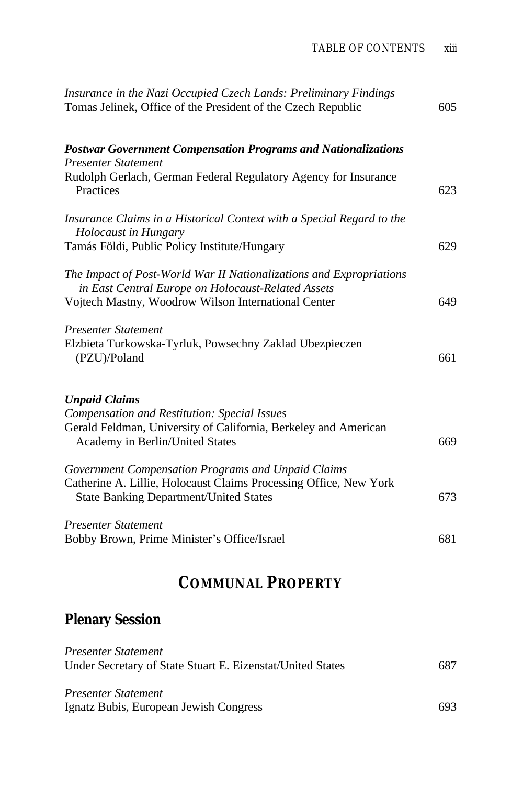<span id="page-12-0"></span>

| Insurance in the Nazi Occupied Czech Lands: Preliminary Findings<br>Tomas Jelinek, Office of the President of the Czech Republic                                                  | 605 |
|-----------------------------------------------------------------------------------------------------------------------------------------------------------------------------------|-----|
| <b>Postwar Government Compensation Programs and Nationalizations</b><br><b>Presenter Statement</b>                                                                                |     |
| Rudolph Gerlach, German Federal Regulatory Agency for Insurance<br>Practices                                                                                                      | 623 |
| Insurance Claims in a Historical Context with a Special Regard to the<br>Holocaust in Hungary                                                                                     |     |
| Tamás Földi, Public Policy Institute/Hungary                                                                                                                                      | 629 |
| The Impact of Post-World War II Nationalizations and Expropriations<br>in East Central Europe on Holocaust-Related Assets                                                         |     |
| Vojtech Mastny, Woodrow Wilson International Center                                                                                                                               | 649 |
| <b>Presenter Statement</b><br>Elzbieta Turkowska-Tyrluk, Powsechny Zaklad Ubezpieczen<br>(PZU)/Poland                                                                             | 661 |
| <b>Unpaid Claims</b><br><b>Compensation and Restitution: Special Issues</b><br>Gerald Feldman, University of California, Berkeley and American<br>Academy in Berlin/United States | 669 |
| Government Compensation Programs and Unpaid Claims                                                                                                                                |     |
| Catherine A. Lillie, Holocaust Claims Processing Office, New York<br><b>State Banking Department/United States</b>                                                                | 673 |
| <b>Presenter Statement</b>                                                                                                                                                        |     |
| Bobby Brown, Prime Minister's Office/Israel                                                                                                                                       | 681 |

# **COMMUNAL PROPERTY**

# **Plenary Session**

| Presenter Statement                                        |      |
|------------------------------------------------------------|------|
| Under Secretary of State Stuart E. Eizenstat/United States | 687  |
|                                                            |      |
| Presenter Statement                                        |      |
| Ignatz Bubis, European Jewish Congress                     | 693. |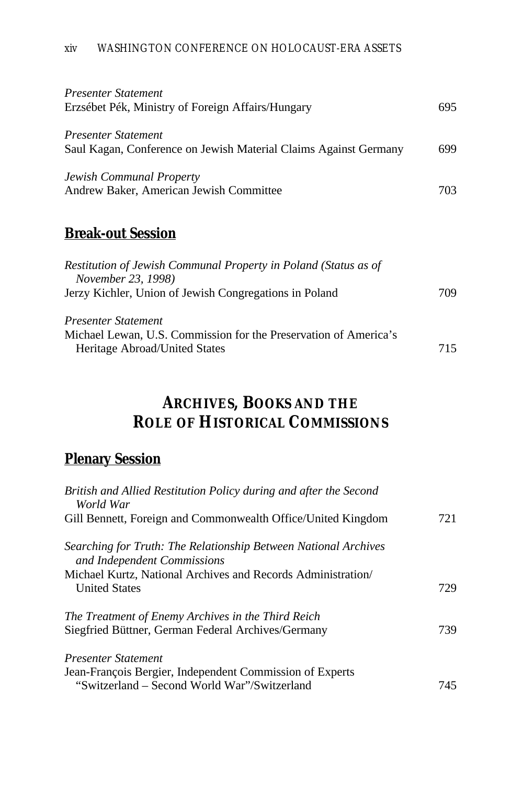| Presenter Statement<br>Erzsébet Pék, Ministry of Foreign Affairs/Hungary                                                                                       | 695 |
|----------------------------------------------------------------------------------------------------------------------------------------------------------------|-----|
| Presenter Statement<br>Saul Kagan, Conference on Jewish Material Claims Against Germany<br>Jewish Communal Property<br>Andrew Baker, American Jewish Committee | 699 |
|                                                                                                                                                                | 703 |

### **Break-out Session**

| Restitution of Jewish Communal Property in Poland (Status as of<br><i>November 23, 1998)</i>      |     |
|---------------------------------------------------------------------------------------------------|-----|
| Jerzy Kichler, Union of Jewish Congregations in Poland                                            | 709 |
| Presenter Statement                                                                               |     |
| Michael Lewan, U.S. Commission for the Preservation of America's<br>Heritage Abroad/United States | 715 |

# **ARCHIVES, BOOKS AND THE ROLE OF HISTORICAL COMMISSIONS**

### **Plenary Session**

| British and Allied Restitution Policy during and after the Second<br>World War                 |     |
|------------------------------------------------------------------------------------------------|-----|
| Gill Bennett, Foreign and Commonwealth Office/United Kingdom                                   | 721 |
| Searching for Truth: The Relationship Between National Archives<br>and Independent Commissions |     |
| Michael Kurtz, National Archives and Records Administration<br><b>United States</b>            | 729 |
| The Treatment of Enemy Archives in the Third Reich                                             |     |
| Siegfried Büttner, German Federal Archives/Germany                                             | 739 |
| <b>Presenter Statement</b><br>Jean-François Bergier, Independent Commission of Experts         |     |
| "Switzerland – Second World War"/Switzerland                                                   | 745 |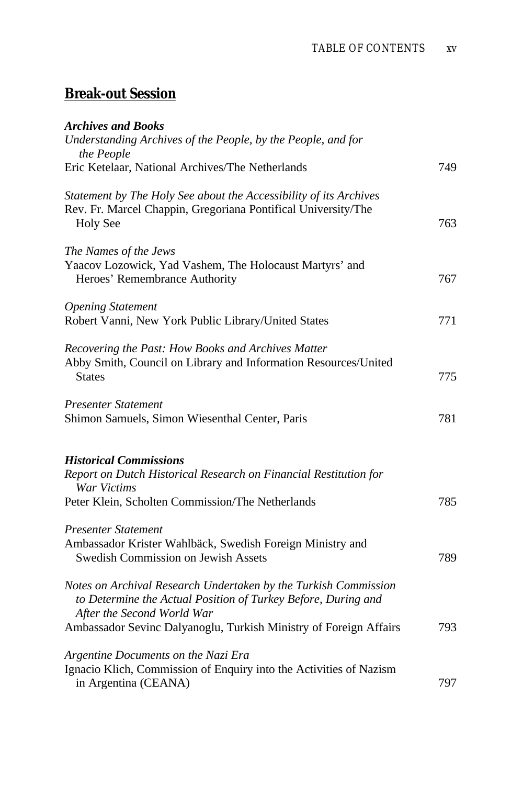# <span id="page-14-0"></span>**Break-out Session**

| <b>Archives and Books</b>                                                                                                                                            |     |
|----------------------------------------------------------------------------------------------------------------------------------------------------------------------|-----|
| Understanding Archives of the People, by the People, and for<br>the People                                                                                           |     |
| Eric Ketelaar, National Archives/The Netherlands                                                                                                                     | 749 |
| Statement by The Holy See about the Accessibility of its Archives<br>Rev. Fr. Marcel Chappin, Gregoriana Pontifical University/The<br><b>Holy See</b>                | 763 |
| The Names of the Jews<br>Yaacov Lozowick, Yad Vashem, The Holocaust Martyrs' and<br>Heroes' Remembrance Authority                                                    | 767 |
| <b>Opening Statement</b><br>Robert Vanni, New York Public Library/United States                                                                                      | 771 |
| Recovering the Past: How Books and Archives Matter<br>Abby Smith, Council on Library and Information Resources/United<br><b>States</b>                               | 775 |
| <b>Presenter Statement</b><br>Shimon Samuels, Simon Wiesenthal Center, Paris                                                                                         | 781 |
| <b>Historical Commissions</b><br>Report on Dutch Historical Research on Financial Restitution for<br>War Victims<br>Peter Klein, Scholten Commission/The Netherlands | 785 |
| Presenter Statement<br>Ambassador Krister Wahlbäck, Swedish Foreign Ministry and<br>Swedish Commission on Jewish Assets                                              | 789 |
| Notes on Archival Research Undertaken by the Turkish Commission<br>to Determine the Actual Position of Turkey Before, During and<br>After the Second World War       |     |
| Ambassador Sevinc Dalyanoglu, Turkish Ministry of Foreign Affairs                                                                                                    | 793 |
| Argentine Documents on the Nazi Era<br>Ignacio Klich, Commission of Enquiry into the Activities of Nazism<br>in Argentina (CEANA)                                    | 797 |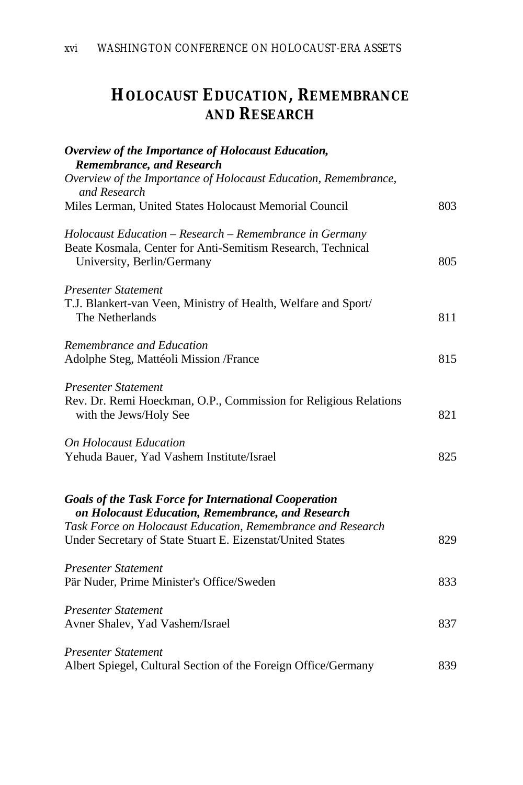# **HOLOCAUST EDUCATION, REMEMBRANCE AND RESEARCH**

| Overview of the Importance of Holocaust Education,                                                               |     |
|------------------------------------------------------------------------------------------------------------------|-----|
| Remembrance, and Research<br>Overview of the Importance of Holocaust Education, Remembrance,                     |     |
| and Research                                                                                                     |     |
| Miles Lerman, United States Holocaust Memorial Council                                                           | 803 |
| Holocaust Education - Research - Remembrance in Germany                                                          |     |
| Beate Kosmala, Center for Anti-Semitism Research, Technical<br>University, Berlin/Germany                        | 805 |
| <b>Presenter Statement</b>                                                                                       |     |
| T.J. Blankert-van Veen, Ministry of Health, Welfare and Sport/<br>The Netherlands                                | 811 |
| Remembrance and Education                                                                                        |     |
| Adolphe Steg, Mattéoli Mission /France                                                                           | 815 |
| <b>Presenter Statement</b>                                                                                       |     |
| Rev. Dr. Remi Hoeckman, O.P., Commission for Religious Relations<br>with the Jews/Holy See                       | 821 |
| <b>On Holocaust Education</b>                                                                                    |     |
| Yehuda Bauer, Yad Vashem Institute/Israel                                                                        | 825 |
| <b>Goals of the Task Force for International Cooperation</b>                                                     |     |
| on Holocaust Education, Remembrance, and Research<br>Task Force on Holocaust Education, Remembrance and Research |     |
| Under Secretary of State Stuart E. Eizenstat/United States                                                       | 829 |
| <b>Presenter Statement</b>                                                                                       |     |
| Pär Nuder, Prime Minister's Office/Sweden                                                                        | 833 |
| <b>Presenter Statement</b>                                                                                       |     |
| Avner Shalev, Yad Vashem/Israel                                                                                  | 837 |
| <b>Presenter Statement</b>                                                                                       |     |
| Albert Spiegel, Cultural Section of the Foreign Office/Germany                                                   | 839 |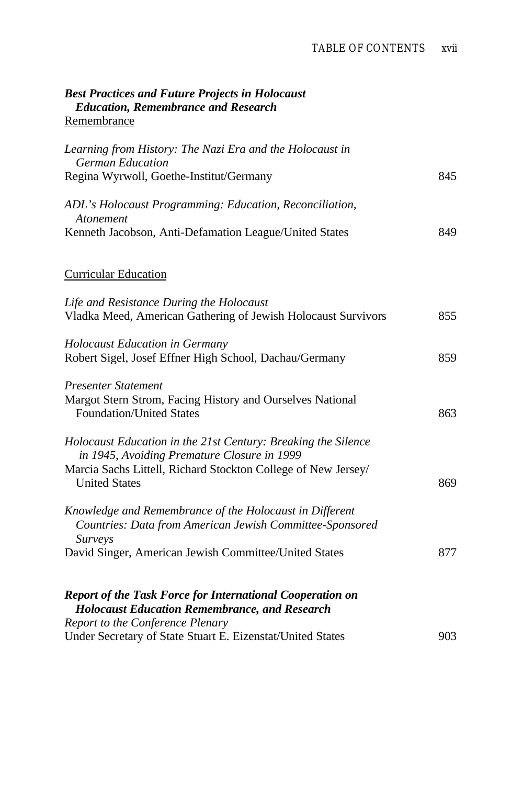<span id="page-16-0"></span>

| <b>Best Practices and Future Projects in Holocaust</b><br><b>Education, Remembrance and Research</b>                                                  |     |
|-------------------------------------------------------------------------------------------------------------------------------------------------------|-----|
| Remembrance                                                                                                                                           |     |
| Learning from History: The Nazi Era and the Holocaust in<br><b>German Education</b>                                                                   |     |
| Regina Wyrwoll, Goethe-Institut/Germany                                                                                                               | 845 |
| ADL's Holocaust Programming: Education, Reconciliation,<br>Atonement                                                                                  |     |
| Kenneth Jacobson, Anti-Defamation League/United States                                                                                                | 849 |
| <b>Curricular Education</b>                                                                                                                           |     |
| Life and Resistance During the Holocaust<br>Vladka Meed, American Gathering of Jewish Holocaust Survivors                                             | 855 |
| <b>Holocaust Education in Germany</b><br>Robert Sigel, Josef Effner High School, Dachau/Germany                                                       | 859 |
| <b>Presenter Statement</b><br>Margot Stern Strom, Facing History and Ourselves National<br><b>Foundation/United States</b>                            | 863 |
| Holocaust Education in the 21st Century: Breaking the Silence<br>in 1945, Avoiding Premature Closure in 1999                                          |     |
| Marcia Sachs Littell, Richard Stockton College of New Jersey/<br><b>United States</b>                                                                 | 869 |
| Knowledge and Remembrance of the Holocaust in Different<br>Countries: Data from American Jewish Committee-Sponsored<br>Surveys                        |     |
| David Singer, American Jewish Committee/United States                                                                                                 | 877 |
| Report of the Task Force for International Cooperation on<br><b>Holocaust Education Remembrance, and Research</b><br>Report to the Conference Plenary |     |
| Under Secretary of State Stuart E. Eizenstat/United States                                                                                            | 903 |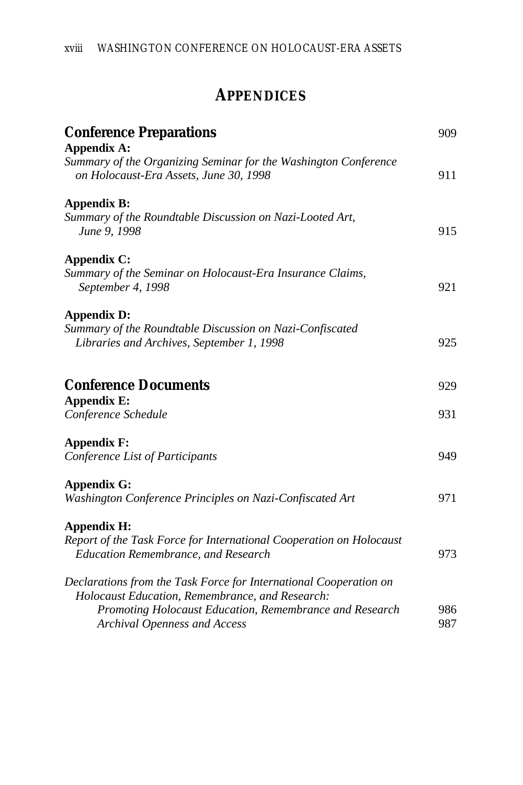# **APPENDICES**

| <b>Conference Preparations</b>                                                                                       | 909 |
|----------------------------------------------------------------------------------------------------------------------|-----|
| <b>Appendix A:</b>                                                                                                   |     |
| Summary of the Organizing Seminar for the Washington Conference<br>on Holocaust-Era Assets, June 30, 1998            | 911 |
| <b>Appendix B:</b>                                                                                                   |     |
| Summary of the Roundtable Discussion on Nazi-Looted Art,<br>June 9, 1998                                             | 915 |
| <b>Appendix C:</b>                                                                                                   |     |
| Summary of the Seminar on Holocaust-Era Insurance Claims,<br>September 4, 1998                                       | 921 |
| Appendix D:                                                                                                          |     |
| Summary of the Roundtable Discussion on Nazi-Confiscated<br>Libraries and Archives, September 1, 1998                | 925 |
| <b>Conference Documents</b>                                                                                          | 929 |
| <b>Appendix E:</b>                                                                                                   |     |
| Conference Schedule                                                                                                  | 931 |
| <b>Appendix F:</b>                                                                                                   |     |
| Conference List of Participants                                                                                      | 949 |
| Appendix G:                                                                                                          |     |
| Washington Conference Principles on Nazi-Confiscated Art                                                             | 971 |
| <b>Appendix H:</b>                                                                                                   |     |
| Report of the Task Force for International Cooperation on Holocaust<br><b>Education Remembrance, and Research</b>    | 973 |
| Declarations from the Task Force for International Cooperation on<br>Holocaust Education, Remembrance, and Research: |     |
| Promoting Holocaust Education, Remembrance and Research                                                              | 986 |
| <b>Archival Openness and Access</b>                                                                                  | 987 |